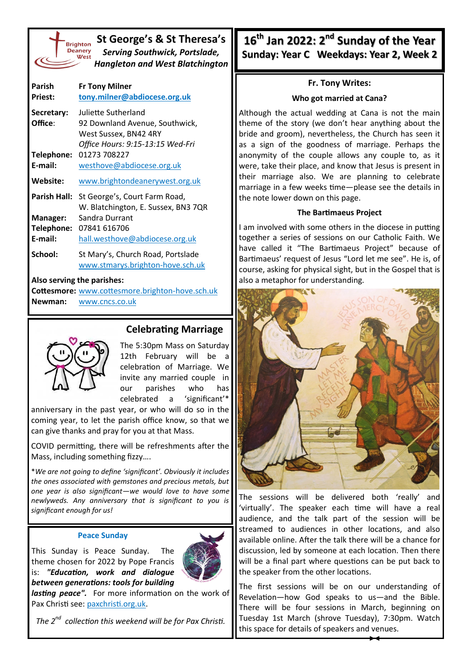| <b>Brightc</b> |
|----------------|
| <b>Deane</b>   |
| We             |
|                |

**St George's & St Theresa's** *Serving Southwick, Portslade, Hangleton and West Blatchington*

| Parish<br><b>Priest:</b> | <b>Fr Tony Milner</b><br>tony.milner@abdiocese.org.uk |
|--------------------------|-------------------------------------------------------|
|                          |                                                       |
| Secretary:               | Juliette Sutherland                                   |
| Office:                  | 92 Downland Avenue, Southwick,                        |
|                          | West Sussex, BN42 4RY                                 |
|                          | Office Hours: 9:15-13:15 Wed-Fri                      |
| Telephone:               | 01273 708227                                          |
| E-mail:                  | westhove@abdiocese.org.uk                             |
| Website:                 | www.brightondeanerywest.org.uk                        |
| Parish Hall:             | St George's, Court Farm Road,                         |
|                          | W. Blatchington, E. Sussex, BN3 7QR                   |
| Manager:                 | Sandra Durrant                                        |
| Telephone:               | 07841 616706                                          |
| E-mail:                  | hall.westhove@abdiocese.org.uk                        |
| School:                  | St Mary's, Church Road, Portslade                     |
|                          | www.stmarys.brighton-hove.sch.uk                      |

#### **Also serving the parishes:**

**Cottesmore:** [www.cottesmore.brighton](http://www.cottesmore.brighton-hove.sch.uk)-hove.sch.uk **Newman:** [www.cncs.co.uk](https://www.cncs.co.uk/)

# **Celebrating Marriage**

The 5:30pm Mass on Saturday 12th February will be a celebration of Marriage. We invite any married couple in our parishes who has celebrated a 'significant'\*

anniversary in the past year, or who will do so in the coming year, to let the parish office know, so that we can give thanks and pray for you at that Mass.

COVID permitting, there will be refreshments after the Mass, including something fizzy….

\**We are not going to define 'significant'. Obviously it includes the ones associated with gemstones and precious metals, but one year is also significant—we would love to have some newlyweds. Any anniversary that is significant to you is significant enough for us!*

#### **Peace Sunday**

This Sunday is Peace Sunday. The theme chosen for 2022 by Pope Francis is: *"Education, work and dialogue between generations: tools for building* 

*lasting peace".* For more information on the work of Pax Christi see: [paxchristi.org.uk.](http://www.paxchristi.org.uk)

*The 2nd collection this weekend will be for Pax Christi.*

**16th Jan 2022: 2nd Sunday of the Year Sunday: Year C Weekdays: Year 2, Week 2** 

# **Fr. Tony Writes:**

### **Who got married at Cana?**

Although the actual wedding at Cana is not the main theme of the story (we don't hear anything about the bride and groom), nevertheless, the Church has seen it as a sign of the goodness of marriage. Perhaps the anonymity of the couple allows any couple to, as it were, take their place, and know that Jesus is present in their marriage also. We are planning to celebrate marriage in a few weeks time—please see the details in the note lower down on this page.

# **The Bartimaeus Project**

I am involved with some others in the diocese in putting together a series of sessions on our Catholic Faith. We have called it "The Bartimaeus Project" because of Bartimaeus' request of Jesus "Lord let me see". He is, of course, asking for physical sight, but in the Gospel that is also a metaphor for understanding.



The sessions will be delivered both 'really' and 'virtually'. The speaker each time will have a real audience, and the talk part of the session will be streamed to audiences in other locations, and also available online. After the talk there will be a chance for discussion, led by someone at each location. Then there will be a final part where questions can be put back to the speaker from the other locations.

The first sessions will be on our understanding of Revelation—how God speaks to us—and the Bible. There will be four sessions in March, beginning on Tuesday 1st March (shrove Tuesday), 7:30pm. Watch this space for details of speakers and venues.